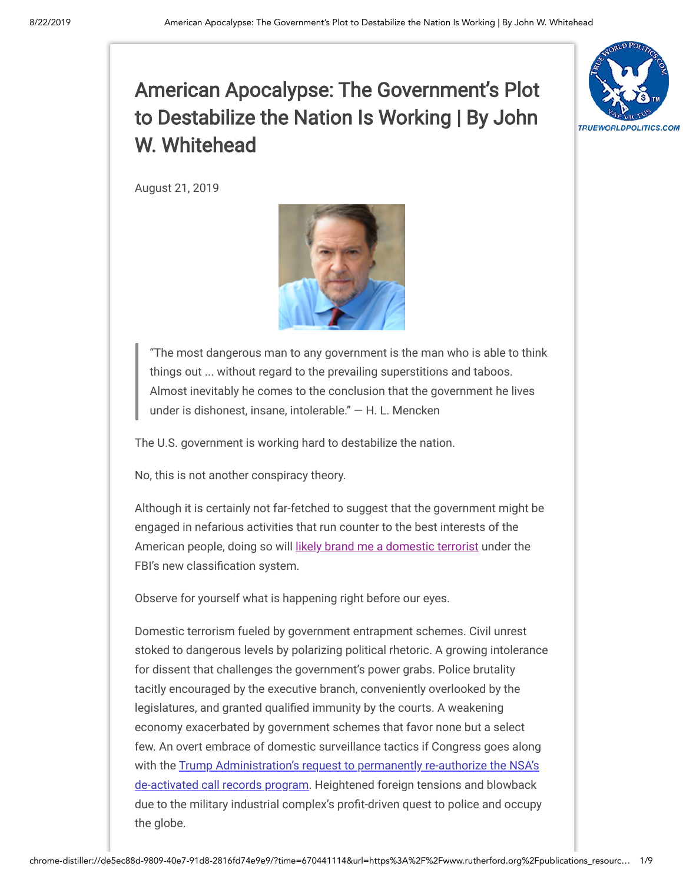

August 21, 2019



"The most dangerous man to any government is the man who is able to think things out ... without regard to the prevailing superstitions and taboos. Almost inevitably he comes to the conclusion that the government he lives under is dishonest, insane, intolerable." — H. L. Mencken

The U.S. government is working hard to destabilize the nation.

No, this is not another conspiracy theory.

Although it is certainly not far-fetched to suggest that the government might be engaged in nefarious activities that run counter to the best interests of the American people, doing so will [likely brand me a domestic terrorist](https://news.yahoo.com/fbi-documents-conspiracy-theories-terrorism-160000507.html) under the FBI's new classification system.

Observe for yourself what is happening right before our eyes.

Domestic terrorism fueled by government entrapment schemes. Civil unrest stoked to dangerous levels by polarizing political rhetoric. A growing intolerance for dissent that challenges the government's power grabs. Police brutality tacitly encouraged by the executive branch, conveniently overlooked by the legislatures, and granted qualified immunity by the courts. A weakening economy exacerbated by government schemes that favor none but a select few. An overt embrace of domestic surveillance tactics if Congress goes along [with the Trump Administration's request to permanently re-authorize the NSA's](https://www.nytimes.com/2019/08/15/us/politics/trump-nsa-call-records-program.html) de-activated call records program. Heightened foreign tensions and blowback due to the military industrial complex's profit-driven quest to police and occupy the globe.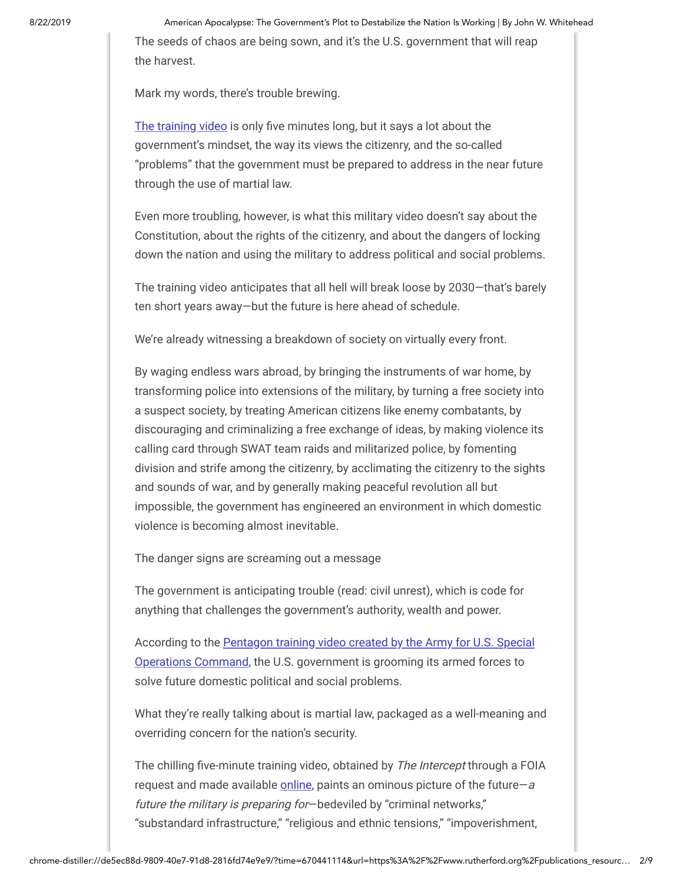The seeds of chaos are being sown, and it's the U.S. government that will reap the harvest.

Mark my words, there's trouble brewing.

[The training video](https://theintercept.com/2016/10/13/pentagon-video-warns-of-unavoidable-dystopian-future-for-worlds-biggest-cities/) is only five minutes long, but it says a lot about the government's mindset, the way its views the citizenry, and the so-called "problems" that the government must be prepared to address in the near future through the use of martial law.

Even more troubling, however, is what this military video doesn't say about the Constitution, about the rights of the citizenry, and about the dangers of locking down the nation and using the military to address political and social problems.

The training video anticipates that all hell will break loose by 2030—that's barely ten short years away—but the future is here ahead of schedule.

We're already witnessing a breakdown of society on virtually every front.

By waging endless wars abroad, by bringing the instruments of war home, by transforming police into extensions of the military, by turning a free society into a suspect society, by treating American citizens like enemy combatants, by discouraging and criminalizing a free exchange of ideas, by making violence its calling card through SWAT team raids and militarized police, by fomenting division and strife among the citizenry, by acclimating the citizenry to the sights and sounds of war, and by generally making peaceful revolution all but impossible, the government has engineered an environment in which domestic violence is becoming almost inevitable.

The danger signs are screaming out a message

The government is anticipating trouble (read: civil unrest), which is code for anything that challenges the government's authority, wealth and power.

[According to the Pentagon training video created by the Army for U.S. Special](https://theintercept.com/2016/10/13/pentagon-video-warns-of-unavoidable-dystopian-future-for-worlds-biggest-cities/) Operations Command, the U.S. government is grooming its armed forces to solve future domestic political and social problems.

What they're really talking about is martial law, packaged as a well-meaning and overriding concern for the nation's security.

The chilling five-minute training video, obtained by The Intercept through a FOIA request and made available [online,](https://theintercept.com/2016/10/13/pentagon-video-warns-of-unavoidable-dystopian-future-for-worlds-biggest-cities/) paints an ominous picture of the future—a future the military is preparing for—bedeviled by "criminal networks," "substandard infrastructure," "religious and ethnic tensions," "impoverishment,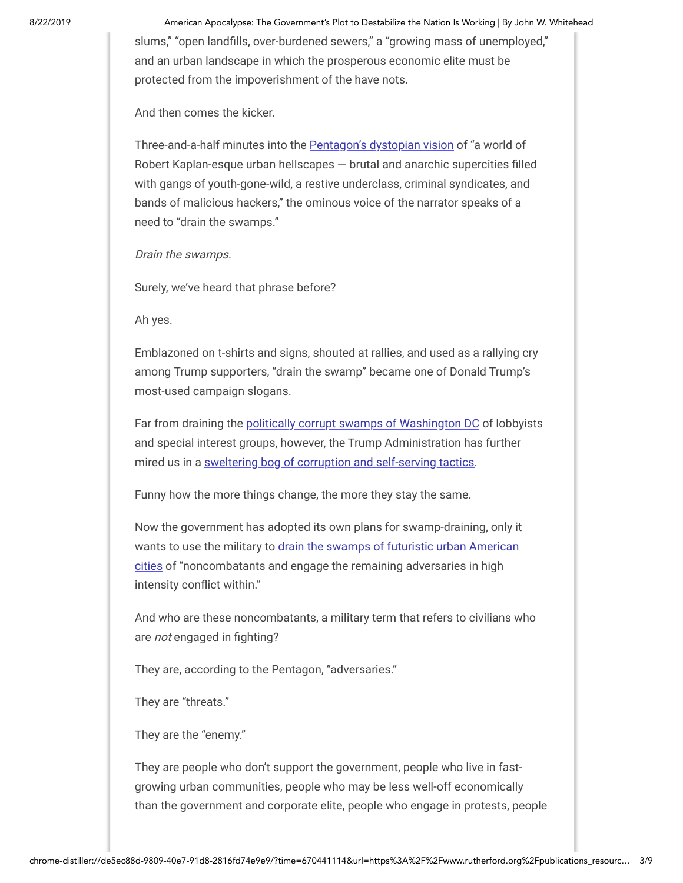8/22/2019 American Apocalypse: The Government's Plot to Destabilize the Nation Is Working | By John W. Whitehead slums," "open landfills, over-burdened sewers," a "growing mass of unemployed," and an urban landscape in which the prosperous economic elite must be protected from the impoverishment of the have nots.

And then comes the kicker.

Three-and-a-half minutes into the **Pentagon's dystopian vision** of "a world of Robert Kaplan-esque urban hellscapes  $-$  brutal and anarchic supercities filled with gangs of youth-gone-wild, a restive underclass, criminal syndicates, and bands of malicious hackers," the ominous voice of the narrator speaks of a need to "drain the swamps."

Drain the swamps.

Surely, we've heard that phrase before?

Ah yes.

Emblazoned on t-shirts and signs, shouted at rallies, and used as a rallying cry among Trump supporters, "drain the swamp" became one of Donald Trump's most-used campaign slogans.

Far from draining the [politically corrupt swamps of Washington DC](http://time.com/donald-trump-drain-swamp/) of lobbyists and special interest groups, however, the Trump Administration has further mired us in a [sweltering bog of corruption and self-serving tactics.](https://www.washingtonpost.com/opinions/2019/06/10/new-revelations-show-trump-administration-is-making-swamp-even-swampier/)

Funny how the more things change, the more they stay the same.

Now the government has adopted its own plans for swamp-draining, only it [wants to use the military to drain the swamps of futuristic urban American](https://theintercept.com/2016/10/13/pentagon-video-warns-of-unavoidable-dystopian-future-for-worlds-biggest-cities/) cities of "noncombatants and engage the remaining adversaries in high intensity conflict within."

And who are these noncombatants, a military term that refers to civilians who are not engaged in fighting?

They are, according to the Pentagon, "adversaries."

They are "threats."

They are the "enemy."

They are people who don't support the government, people who live in fastgrowing urban communities, people who may be less well-off economically than the government and corporate elite, people who engage in protests, people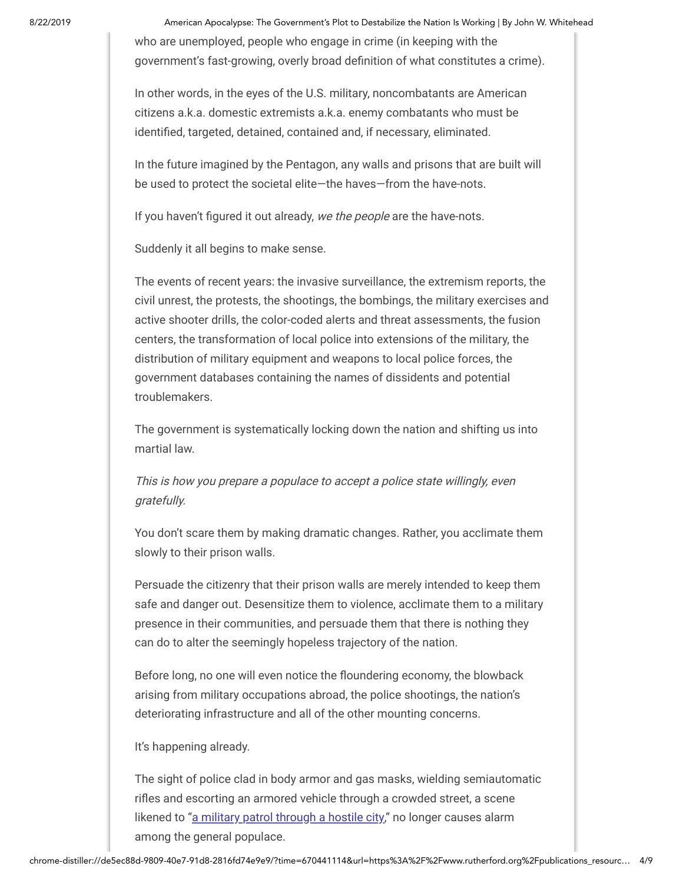who are unemployed, people who engage in crime (in keeping with the government's fast-growing, overly broad definition of what constitutes a crime).

In other words, in the eyes of the U.S. military, noncombatants are American citizens a.k.a. domestic extremists a.k.a. enemy combatants who must be identified, targeted, detained, contained and, if necessary, eliminated.

In the future imagined by the Pentagon, any walls and prisons that are built will be used to protect the societal elite—the haves—from the have-nots.

If you haven't figured it out already, we the people are the have-nots.

Suddenly it all begins to make sense.

The events of recent years: the invasive surveillance, the extremism reports, the civil unrest, the protests, the shootings, the bombings, the military exercises and active shooter drills, the color-coded alerts and threat assessments, the fusion centers, the transformation of local police into extensions of the military, the distribution of military equipment and weapons to local police forces, the government databases containing the names of dissidents and potential troublemakers.

The government is systematically locking down the nation and shifting us into martial law.

This is how you prepare a populace to accept a police state willingly, even gratefully.

You don't scare them by making dramatic changes. Rather, you acclimate them slowly to their prison walls.

Persuade the citizenry that their prison walls are merely intended to keep them safe and danger out. Desensitize them to violence, acclimate them to a military presence in their communities, and persuade them that there is nothing they can do to alter the seemingly hopeless trajectory of the nation.

Before long, no one will even notice the floundering economy, the blowback arising from military occupations abroad, the police shootings, the nation's deteriorating infrastructure and all of the other mounting concerns.

It's happening already.

The sight of police clad in body armor and gas masks, wielding semiautomatic rifles and escorting an armored vehicle through a crowded street, a scene likened to ["a military patrol through a hostile city,](https://www.washingtonpost.com/news/checkpoint/wp/2016/07/11/why-the-police-in-baton-rouge-look-like-theyre-dressed-for-war/)" no longer causes alarm among the general populace.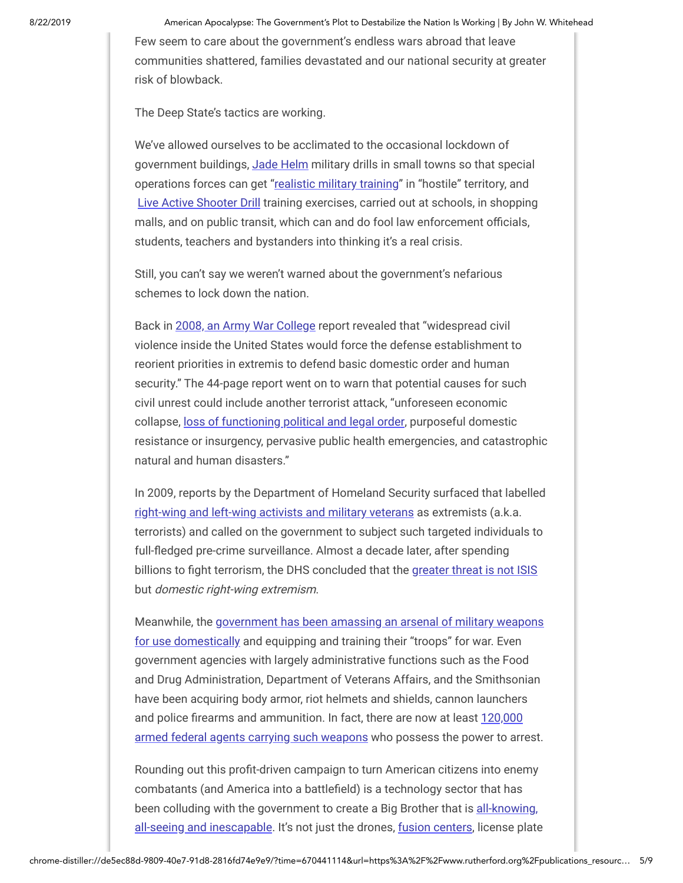Few seem to care about the government's endless wars abroad that leave communities shattered, families devastated and our national security at greater risk of blowback.

The Deep State's tactics are working.

We've allowed ourselves to be acclimated to the occasional lockdown of government buildings, [Jade Helm](http://www.washingtonpost.com/news/checkpoint/wp/2015/03/31/why-the-new-special-operations-exercise-freaking-out-the-internet-is-no-big-deal/) military drills in small towns so that special operations forces can get ["realistic military training"](http://www.chron.com/news/article/Covert-warfare-comming-to-Texas-6157685.php) in "hostile" territory, and [Live Active Shooter Drill](http://www.washingtonpost.com/news/national/wp/2014/11/14/i-thought-he-was-going-to-shoot-me-unsuspecting-middle-school-students-terrified-by-active-shooter-drill/) training exercises, carried out at schools, in shopping malls, and on public transit, which can and do fool law enforcement officials, students, teachers and bystanders into thinking it's a real crisis.

Still, you can't say we weren't warned about the government's nefarious schemes to lock down the nation.

Back in [2008, an Army War College](http://www.rawstory.com/news/2008/Report_Military_may_have_to_quell_1229.html) report revealed that "widespread civil violence inside the United States would force the defense establishment to reorient priorities in extremis to defend basic domestic order and human security." The 44-page report went on to warn that potential causes for such civil unrest could include another terrorist attack, "unforeseen economic collapse, [loss of functioning political and legal order,](http://www.rawstory.com/news/2008/Report_Military_may_have_to_quell_1229.html) purposeful domestic resistance or insurgency, pervasive public health emergencies, and catastrophic natural and human disasters."

In 2009, reports by the Department of Homeland Security surfaced that labelled [right-wing and left-wing activists and military veterans](http://www.dailykos.com/story/2012/8/6/1117242/-Remember-the-DHS-Right-Wing-Extremist-Report) as extremists (a.k.a. terrorists) and called on the government to subject such targeted individuals to full-fledged pre-crime surveillance. Almost a decade later, after spending billions to fight terrorism, the DHS concluded that the [greater threat is not ISIS](http://insider.foxnews.com/2015/02/21/leaked-dhs-reports-greatest-threat-us-national-security-domestic-right-wing-extremists) but domestic right-wing extremism.

[Meanwhile, the government has been amassing an arsenal of military weapons](http://www.washingtontimes.com/news/2016/jan/7/golden-hammer-feds-spending-millions-to-arm-agenci/) for use domestically and equipping and training their "troops" for war. Even government agencies with largely administrative functions such as the Food and Drug Administration, Department of Veterans Affairs, and the Smithsonian have been acquiring body armor, riot helmets and shields, cannon launchers and police firearms and ammunition. In fact, there are now at least 120,000 armed federal agents carrying such weapons who possess the power to arrest.

Rounding out this profit-driven campaign to turn American citizens into enemy combatants (and America into a battlefield) is a technology sector that has [been colluding with the government to create a Big Brother that is all-knowing,](http://www.techinsider.io/how-youre-tracked-on-a-regular-basis-2016-6) all-seeing and inescapable. It's not just the drones, [fusion centers,](https://www.washingtonpost.com/investigations/dhs-fusion-centers-portrayed-as-pools-of-ineptitude-and-civil-liberties-intrusions/2012/10/02/10014440-0cb1-11e2-bd1a-b868e65d57eb_story.html) license plate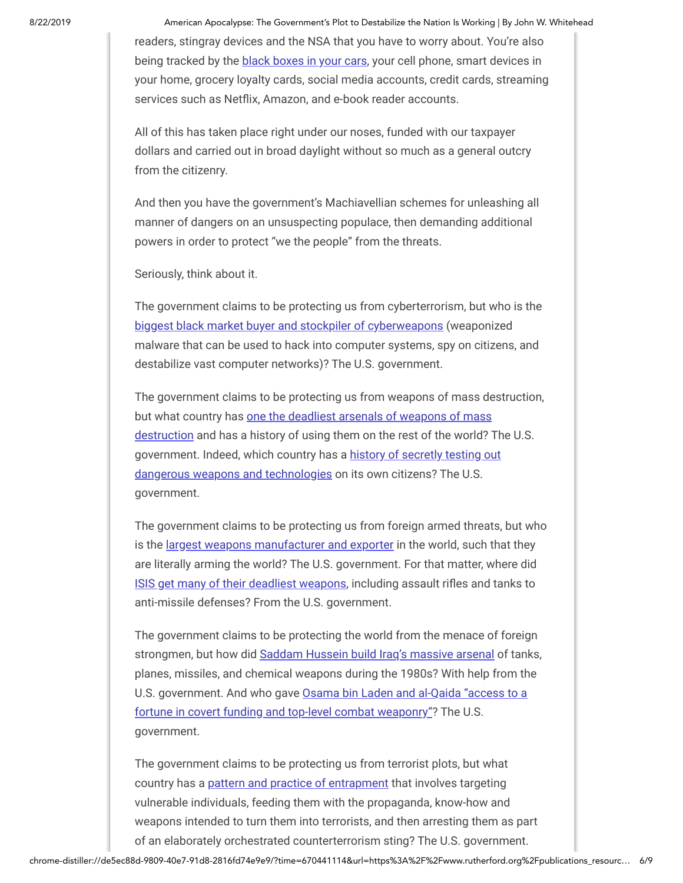readers, stingray devices and the NSA that you have to worry about. You're also being tracked by the [black boxes in your cars](http://www.techinsider.io/how-youre-tracked-on-a-regular-basis-2016-6), your cell phone, smart devices in your home, grocery loyalty cards, social media accounts, credit cards, streaming services such as Netflix, Amazon, and e-book reader accounts.

All of this has taken place right under our noses, funded with our taxpayer dollars and carried out in broad daylight without so much as a general outcry from the citizenry.

And then you have the government's Machiavellian schemes for unleashing all manner of dangers on an unsuspecting populace, then demanding additional powers in order to protect "we the people" from the threats.

Seriously, think about it.

The government claims to be protecting us from cyberterrorism, but who is the [biggest black market buyer and stockpiler of cyberweapons](https://www.theverge.com/2013/5/10/4319278/us-government-hacking-threatens-cybersecurity-former-officials-say) (weaponized malware that can be used to hack into computer systems, spy on citizens, and destabilize vast computer networks)? The U.S. government.

The government claims to be protecting us from weapons of mass destruction, but what country has one the deadliest arsenals of weapons of mass [destruction and has a history of using them on the rest of the world? T](http://theweek.com/articles/460030/americas-weapons-mass-destruction-by-numbers)he U.S. [government. Indeed, which country has a history of secretly testing out](http://www.businessinsider.com/military-government-secret-experiments-biological-chemical-weapons-2016-9) dangerous weapons and technologies on its own citizens? The U.S. government.

The government claims to be protecting us from foreign armed threats, but who is the [largest weapons manufacturer and exporter](http://www.motherjones.com/politics/2016/07/tomdispatch-dc-congress-defense-international-arms-business) in the world, such that they are literally arming the world? The U.S. government. For that matter, where did [ISIS get many of their deadliest weapons](http://www.cnn.com/2015/12/08/politics/amnesty-international-isis-weapons-u-s-/), including assault rifles and tanks to anti-missile defenses? From the U.S. government.

The government claims to be protecting the world from the menace of foreign strongmen, but how did [Saddam Hussein build Iraq's massive arsenal](http://www.pbs.org/wgbh/pages/frontline/shows/longroad/etc/arming.html) of tanks, planes, missiles, and chemical weapons during the 1980s? With help from the [U.S. government. And who gave Osama bin Laden and al-Qaida "access to a](http://www.nbcnews.com/id/3340101/t/bin-laden-comes-home-roost/#.WRntIFUrK70) fortune in covert funding and top-level combat weaponry"? The U.S. government.

The government claims to be protecting us from terrorist plots, but what country has a [pattern and practice of entrapment](https://theintercept.com/2015/03/16/howthefbicreatedaterrorist/) that involves targeting vulnerable individuals, feeding them with the propaganda, know-how and weapons intended to turn them into terrorists, and then arresting them as part of an elaborately orchestrated counterterrorism sting? The U.S. government.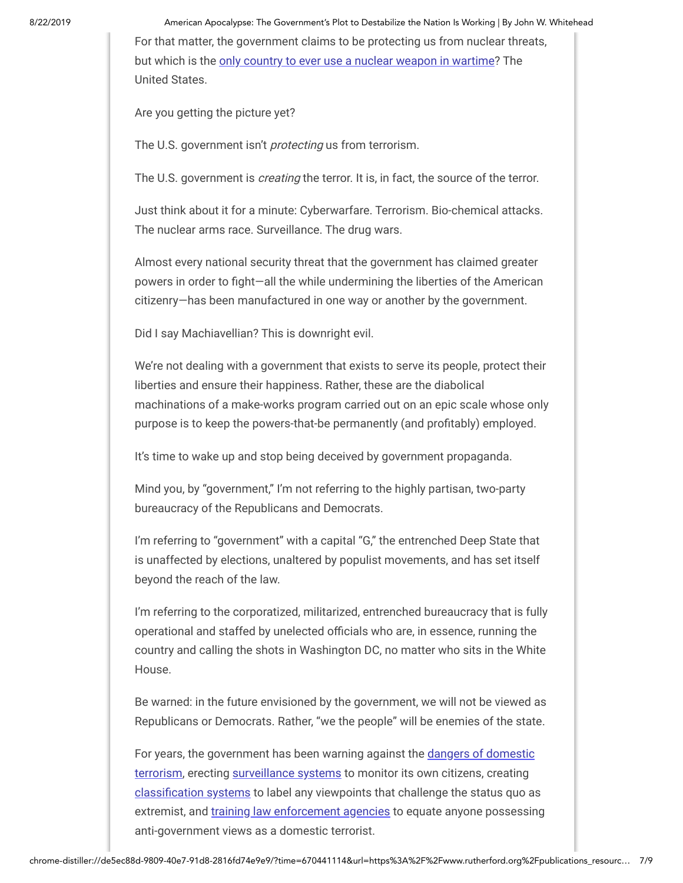8/22/2019 American Apocalypse: The Government's Plot to Destabilize the Nation Is Working | By John W. Whitehead For that matter, the government claims to be protecting us from nuclear threats, but which is the [only country to ever use a nuclear weapon in wartime?](http://www.icanw.org/the-facts/the-nuclear-age/) The United States.

Are you getting the picture yet?

The U.S. government isn't *protecting* us from terrorism.

The U.S. government is *creating* the terror. It is, in fact, the source of the terror.

Just think about it for a minute: Cyberwarfare. Terrorism. Bio-chemical attacks. The nuclear arms race. Surveillance. The drug wars.

Almost every national security threat that the government has claimed greater powers in order to fight-all the while undermining the liberties of the American citizenry—has been manufactured in one way or another by the government.

Did I say Machiavellian? This is downright evil.

We're not dealing with a government that exists to serve its people, protect their liberties and ensure their happiness. Rather, these are the diabolical machinations of a make-works program carried out on an epic scale whose only purpose is to keep the powers-that-be permanently (and profitably) employed.

It's time to wake up and stop being deceived by government propaganda.

Mind you, by "government," I'm not referring to the highly partisan, two-party bureaucracy of the Republicans and Democrats.

I'm referring to "government" with a capital "G," the entrenched Deep State that is unaffected by elections, unaltered by populist movements, and has set itself beyond the reach of the law.

I'm referring to the corporatized, militarized, entrenched bureaucracy that is fully operational and staffed by unelected officials who are, in essence, running the country and calling the shots in Washington DC, no matter who sits in the White House.

Be warned: in the future envisioned by the government, we will not be viewed as Republicans or Democrats. Rather, "we the people" will be enemies of the state.

[For years, the government has been warning against the dangers of domestic](http://www.cnn.com/2015/02/19/politics/terror-threat-homeland-security/) terrorism, erecting [surveillance systems](http://www.cbsnews.com/feature/nsa-surveillance-exposed/) to monitor its own citizens, creating classification systems to label any viewpoints that challenge the status quo as extremist, and [training law enforcement agencies](http://www.nytimes.com/2015/06/16/opinion/the-other-terror-threat.html) to equate anyone possessing anti-government views as a domestic terrorist.